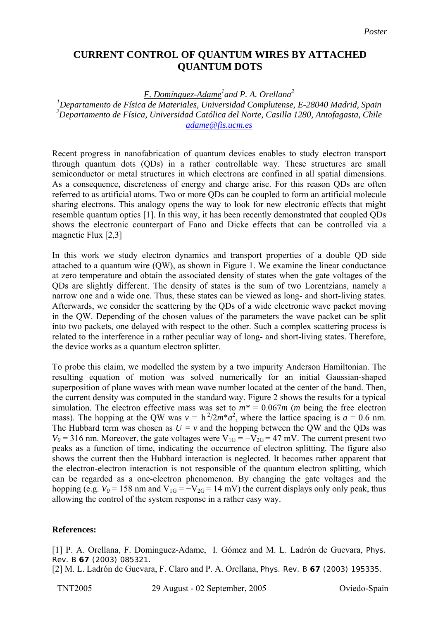## **CURRENT CONTROL OF QUANTUM WIRES BY ATTACHED QUANTUM DOTS**

## *F. Domínguez-Adame<sup>1</sup> and P. A. Orellana<sup>2</sup>*

*1 Departamento de Física de Materiales, Universidad Complutense, E-28040 Madrid, Spain 2 Departamento de Física, Universidad Católica del Norte, Casilla 1280, Antofagasta, Chile [adame@fis.ucm.es](mailto:adame@fis.ucm.es)*

Recent progress in nanofabrication of quantum devices enables to study electron transport through quantum dots (QDs) in a rather controllable way. These structures are small semiconductor or metal structures in which electrons are confined in all spatial dimensions. As a consequence, discreteness of energy and charge arise. For this reason QDs are often referred to as artificial atoms. Two or more QDs can be coupled to form an artificial molecule sharing electrons. This analogy opens the way to look for new electronic effects that might resemble quantum optics [1]. In this way, it has been recently demonstrated that coupled QDs shows the electronic counterpart of Fano and Dicke effects that can be controlled via a magnetic Flux [2,3]

In this work we study electron dynamics and transport properties of a double QD side attached to a quantum wire (QW), as shown in Figure 1. We examine the linear conductance at zero temperature and obtain the associated density of states when the gate voltages of the QDs are slightly different. The density of states is the sum of two Lorentzians, namely a narrow one and a wide one. Thus, these states can be viewed as long- and short-living states. Afterwards, we consider the scattering by the QDs of a wide electronic wave packet moving in the QW. Depending of the chosen values of the parameters the wave packet can be split into two packets, one delayed with respect to the other. Such a complex scattering process is related to the interference in a rather peculiar way of long- and short-living states. Therefore, the device works as a quantum electron splitter.

To probe this claim, we modelled the system by a two impurity Anderson Hamiltonian. The resulting equation of motion was solved numerically for an initial Gaussian-shaped superposition of plane waves with mean wave number located at the center of the band. Then, the current density was computed in the standard way. Figure 2 shows the results for a typical simulation. The electron effective mass was set to  $m^* = 0.067m$  (*m* being the free electron mass). The hopping at the QW was  $v = h^2/2m^*a^2$ , where the lattice spacing is  $a = 0.6$  nm. The Hubbard term was chosen as  $U = v$  and the hopping between the QW and the QDs was  $V_0$  = 316 nm. Moreover, the gate voltages were  $V_{1G} = -V_{2G} = 47$  mV. The current present two peaks as a function of time, indicating the occurrence of electron splitting. The figure also shows the current then the Hubbard interaction is neglected. It becomes rather apparent that the electron-electron interaction is not responsible of the quantum electron splitting, which can be regarded as a one-electron phenomenon. By changing the gate voltages and the hopping (e.g.  $V_0 = 158$  nm and  $V_{1G} = -V_{2G} = 14$  mV) the current displays only only peak, thus allowing the control of the system response in a rather easy way.

## **References:**

[1] P. A. Orellana, F. Domínguez-Adame, I. Gómez and M. L. Ladrón de Guevara, Phys. Rev. B **67** (2003) 085321.

[2] M. L. Ladrón de Guevara, F. Claro and P. A. Orellana, Phys. Rev. B **67** (2003) 195335.